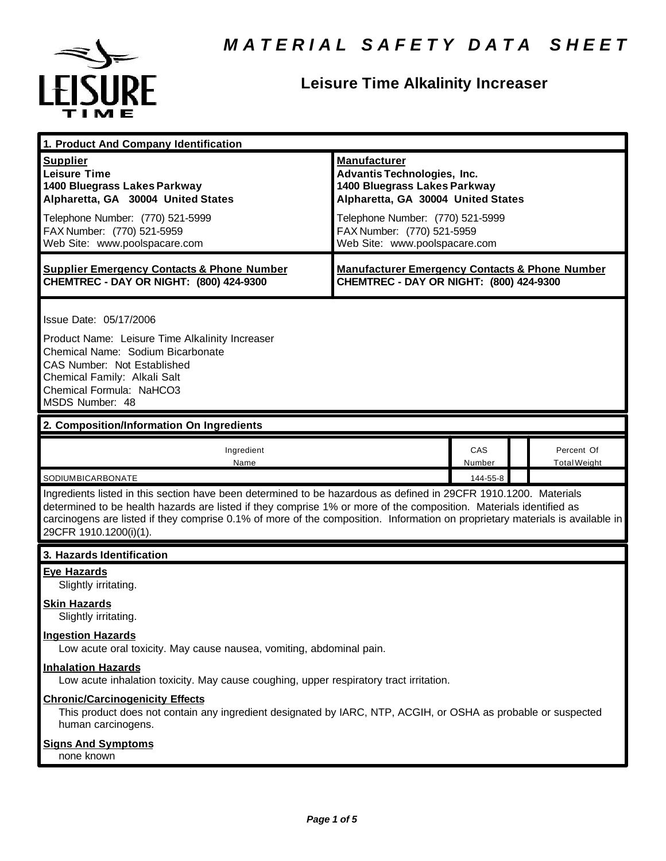

## **Leisure Time Alkalinity Increaser**

| 1. Product And Company Identification                                                                                                                                                                                                                                                                                                                                                                                              |                                                                                                                                                                                                                                    |               |  |                                   |
|------------------------------------------------------------------------------------------------------------------------------------------------------------------------------------------------------------------------------------------------------------------------------------------------------------------------------------------------------------------------------------------------------------------------------------|------------------------------------------------------------------------------------------------------------------------------------------------------------------------------------------------------------------------------------|---------------|--|-----------------------------------|
| <b>Supplier</b><br><b>Leisure Time</b><br>1400 Bluegrass Lakes Parkway<br>Alpharetta, GA 30004 United States<br>Telephone Number: (770) 521-5999<br>FAX Number: (770) 521-5959<br>Web Site: www.poolspacare.com                                                                                                                                                                                                                    | <b>Manufacturer</b><br><b>Advantis Technologies, Inc.</b><br>1400 Bluegrass Lakes Parkway<br>Alpharetta, GA 30004 United States<br>Telephone Number: (770) 521-5999<br>FAX Number: (770) 521-5959<br>Web Site: www.poolspacare.com |               |  |                                   |
| <b>Supplier Emergency Contacts &amp; Phone Number</b><br>CHEMTREC - DAY OR NIGHT: (800) 424-9300                                                                                                                                                                                                                                                                                                                                   | <b>Manufacturer Emergency Contacts &amp; Phone Number</b><br>CHEMTREC - DAY OR NIGHT: (800) 424-9300                                                                                                                               |               |  |                                   |
| Issue Date: 05/17/2006<br>Product Name: Leisure Time Alkalinity Increaser<br>Chemical Name: Sodium Bicarbonate<br>CAS Number: Not Established<br>Chemical Family: Alkali Salt<br>Chemical Formula: NaHCO3<br>MSDS Number: 48                                                                                                                                                                                                       |                                                                                                                                                                                                                                    |               |  |                                   |
| 2. Composition/Information On Ingredients                                                                                                                                                                                                                                                                                                                                                                                          |                                                                                                                                                                                                                                    |               |  |                                   |
| Ingredient<br>Name                                                                                                                                                                                                                                                                                                                                                                                                                 |                                                                                                                                                                                                                                    | CAS<br>Number |  | Percent Of<br><b>Total Weight</b> |
| SODIUMBICARBONATE<br>144-55-8<br>Ingredients listed in this section have been determined to be hazardous as defined in 29CFR 1910.1200. Materials<br>determined to be health hazards are listed if they comprise 1% or more of the composition. Materials identified as<br>carcinogens are listed if they comprise 0.1% of more of the composition. Information on proprietary materials is available in<br>29CFR 1910.1200(i)(1). |                                                                                                                                                                                                                                    |               |  |                                   |
| 3. Hazards Identification                                                                                                                                                                                                                                                                                                                                                                                                          |                                                                                                                                                                                                                                    |               |  |                                   |
| <b>Eye Hazards</b><br>Slightly irritating.<br><b>Skin Hazards</b><br>Slightly irritating.                                                                                                                                                                                                                                                                                                                                          |                                                                                                                                                                                                                                    |               |  |                                   |
| <b>Ingestion Hazards</b><br>Low acute oral toxicity. May cause nausea, vomiting, abdominal pain.                                                                                                                                                                                                                                                                                                                                   |                                                                                                                                                                                                                                    |               |  |                                   |
| <b>Inhalation Hazards</b><br>Low acute inhalation toxicity. May cause coughing, upper respiratory tract irritation.                                                                                                                                                                                                                                                                                                                |                                                                                                                                                                                                                                    |               |  |                                   |
| <b>Chronic/Carcinogenicity Effects</b><br>This product does not contain any ingredient designated by IARC, NTP, ACGIH, or OSHA as probable or suspected<br>human carcinogens.                                                                                                                                                                                                                                                      |                                                                                                                                                                                                                                    |               |  |                                   |
| <b>Signs And Symptoms</b><br>none known                                                                                                                                                                                                                                                                                                                                                                                            |                                                                                                                                                                                                                                    |               |  |                                   |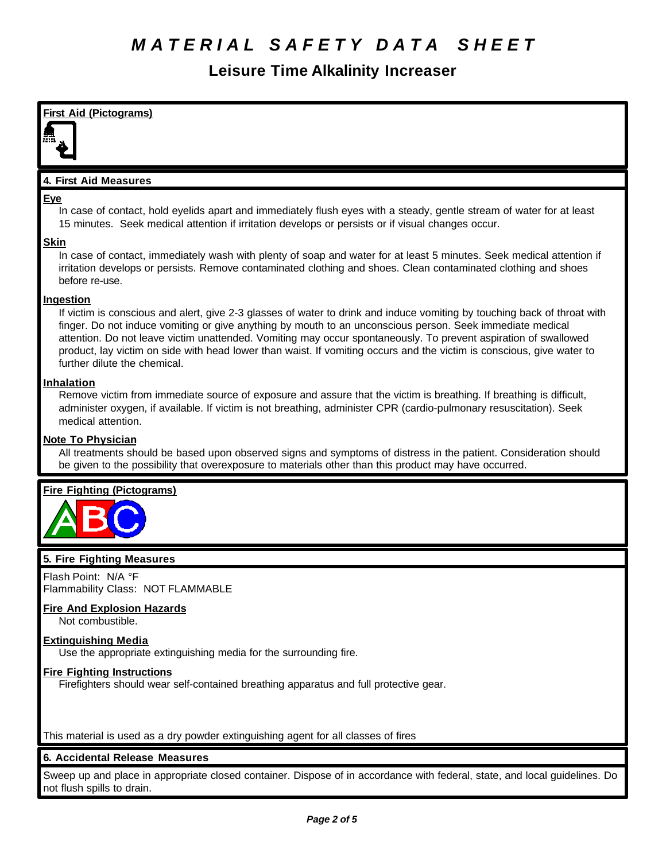### **Leisure Time Alkalinity Increaser**



This material is used as a dry powder extinguishing agent for all classes of fires

### **6. Accidental Release Measures**

Sweep up and place in appropriate closed container. Dispose of in accordance with federal, state, and local guidelines. Do not flush spills to drain.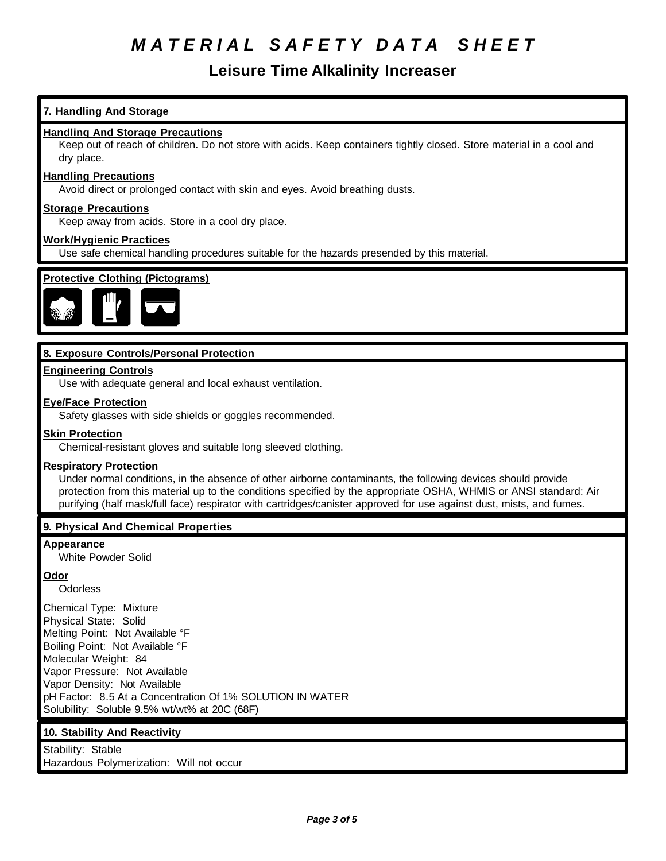### **Leisure Time Alkalinity Increaser**

### **7. Handling And Storage**

#### **Handling And Storage Precautions**

Keep out of reach of children. Do not store with acids. Keep containers tightly closed. Store material in a cool and dry place.

#### **Handling Precautions**

Avoid direct or prolonged contact with skin and eyes. Avoid breathing dusts.

#### **Storage Precautions**

Keep away from acids. Store in a cool dry place.

#### **Work/Hygienic Practices**

Use safe chemical handling procedures suitable for the hazards presended by this material.



### **8. Exposure Controls/Personal Protection**

#### **Engineering Controls**

Use with adequate general and local exhaust ventilation.

#### **Eye/Face Protection**

Safety glasses with side shields or goggles recommended.

#### **Skin Protection**

Chemical-resistant gloves and suitable long sleeved clothing.

#### **Respiratory Protection**

Under normal conditions, in the absence of other airborne contaminants, the following devices should provide protection from this material up to the conditions specified by the appropriate OSHA, WHMIS or ANSI standard: Air purifying (half mask/full face) respirator with cartridges/canister approved for use against dust, mists, and fumes.

#### **9. Physical And Chemical Properties**

#### **Appearance**

White Powder Solid

#### **Odor**

**Odorless** 

Chemical Type: Mixture Physical State: Solid Melting Point: Not Available °F Boiling Point: Not Available °F Molecular Weight: 84 Vapor Pressure: Not Available Vapor Density: Not Available pH Factor: 8.5 At a Concentration Of 1% SOLUTION IN WATER Solubility: Soluble 9.5% wt/wt% at 20C (68F)

#### **10. Stability And Reactivity**

Stability: Stable Hazardous Polymerization: Will not occur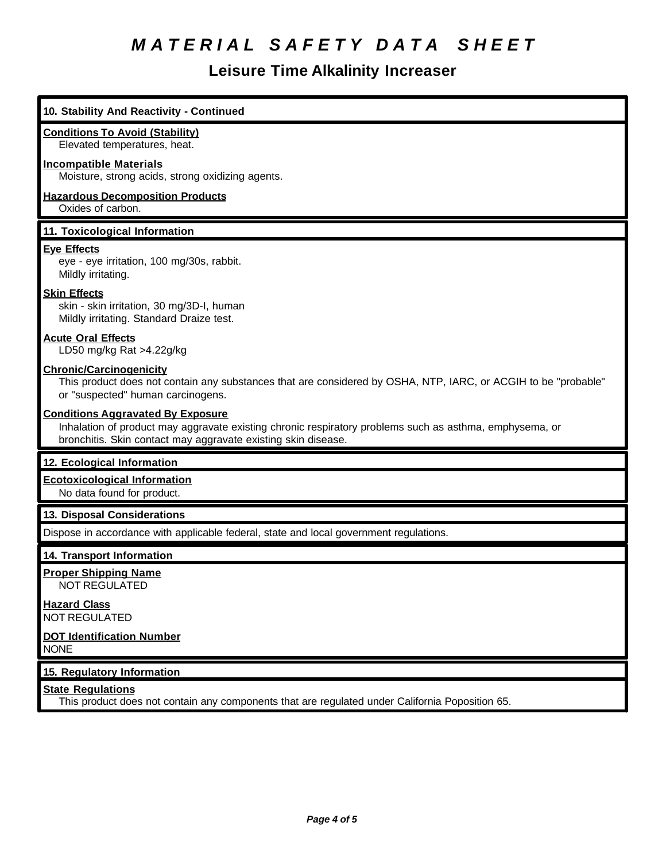### **Leisure Time Alkalinity Increaser**

## **10. Stability And Reactivity - Continued Conditions To Avoid (Stability)** Elevated temperatures, heat. **Incompatible Materials** Moisture, strong acids, strong oxidizing agents. **Hazardous Decomposition Products** Oxides of carbon. **11. Toxicological Information Eye Effects** eye - eye irritation, 100 mg/30s, rabbit. Mildly irritating. **Skin Effects** skin - skin irritation, 30 mg/3D-I, human Mildly irritating. Standard Draize test. **Acute Oral Effects** LD50 mg/kg Rat >4.22g/kg **Chronic/Carcinogenicity** This product does not contain any substances that are considered by OSHA, NTP, IARC, or ACGIH to be "probable" or "suspected" human carcinogens. **Conditions Aggravated By Exposure** Inhalation of product may aggravate existing chronic respiratory problems such as asthma, emphysema, or bronchitis. Skin contact may aggravate existing skin disease. **12. Ecological Information Ecotoxicological Information** No data found for product. **13. Disposal Considerations** Dispose in accordance with applicable federal, state and local government regulations. **14. Transport Information Proper Shipping Name** NOT REGULATED **Hazard Class** NOT REGULATED **DOT Identification Number** NONE **15. Regulatory Information State Regulations** This product does not contain any components that are regulated under California Poposition 65.